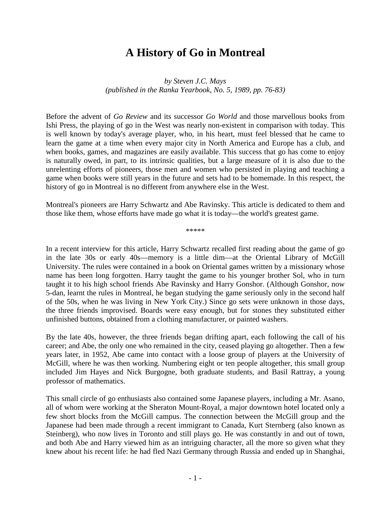## **A History of Go in Montreal**

*by Steven J.C. Mays (published in the Ranka Yearbook, No. 5, 1989, pp. 76-83)*

Before the advent of *Go Review* and its successor *Go World* and those marvellous books from Ishi Press, the playing of go in the West was nearly non-existent in comparison with today. This is well known by today's average player, who, in his heart, must feel blessed that he came to learn the game at a time when every major city in North America and Europe has a club, and when books, games, and magazines are easily available. This success that go has come to enjoy is naturally owed, in part, to its intrinsic qualities, but a large measure of it is also due to the unrelenting efforts of pioneers, those men and women who persisted in playing and teaching a game when books were still years in the future and sets had to be homemade. In this respect, the history of go in Montreal is no different from anywhere else in the West.

Montreal's pioneers are Harry Schwartz and Abe Ravinsky. This article is dedicated to them and those like them, whose efforts have made go what it is today—the world's greatest game.

\*\*\*\*\*

In a recent interview for this article, Harry Schwartz recalled first reading about the game of go in the late 30s or early 40s—memory is a little dim—at the Oriental Library of McGill University. The rules were contained in a book on Oriental games written by a missionary whose name has been long forgotten. Harry taught the game to his younger brother Sol, who in turn taught it to his high school friends Abe Ravinsky and Harry Gonshor. (Although Gonshor, now 5-dan, learnt the rules in Montreal, he began studying the game seriously only in the second half of the 50s, when he was living in New York City.) Since go sets were unknown in those days, the three friends improvised. Boards were easy enough, but for stones they substituted either unfinished buttons, obtained from a clothing manufacturer, or painted washers.

By the late 40s, however, the three friends began drifting apart, each following the call of his career; and Abe, the only one who remained in the city, ceased playing go altogether. Then a few years later, in 1952, Abe came into contact with a loose group of players at the University of McGill, where he was then working. Numbering eight or ten people altogether, this small group included Jim Hayes and Nick Burgogne, both graduate students, and Basil Rattray, a young professor of mathematics.

This small circle of go enthusiasts also contained some Japanese players, including a Mr. Asano, all of whom were working at the Sheraton Mount-Royal, a major downtown hotel located only a few short blocks from the McGill campus. The connection between the McGill group and the Japanese had been made through a recent immigrant to Canada, Kurt Sternberg (also known as Steinberg), who now lives in Toronto and still plays go. He was constantly in and out of town, and both Abe and Harry viewed him as an intriguing character, all the more so given what they knew about his recent life: he had fled Nazi Germany through Russia and ended up in Shanghai,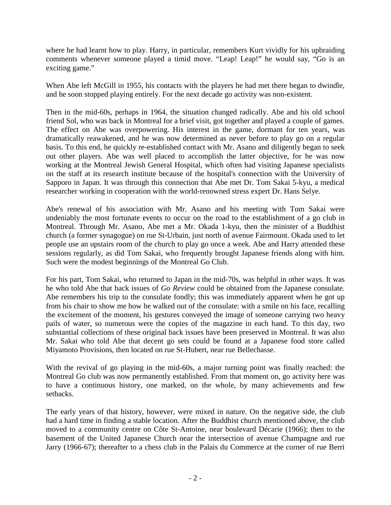where he had learnt how to play. Harry, in particular, remembers Kurt vividly for his upbraiding comments whenever someone played a timid move. "Leap! Leap!" he would say, "Go is an exciting game."

When Abe left McGill in 1955, his contacts with the players he had met there began to dwindle, and he soon stopped playing entirely. For the next decade go activity was non-existent.

Then in the mid-60s, perhaps in 1964, the situation changed radically. Abe and his old school friend Sol, who was back in Montreal for a brief visit, got together and played a couple of games. The effect on Abe was overpowering. His interest in the game, dormant for ten years, was dramatically reawakened, and he was now determined as never before to play go on a regular basis. To this end, he quickly re-established contact with Mr. Asano and diligently began to seek out other players. Abe was well placed to accomplish the latter objective, for he was now working at the Montreal Jewish General Hospital, which often had visiting Japanese specialists on the staff at its research institute because of the hospital's connection with the University of Sapporo in Japan. It was through this connection that Abe met Dr. Tom Sakai 5-kyu, a medical researcher working in cooperation with the world-renowned stress expert Dr. Hans Selye.

Abe's renewal of his association with Mr. Asano and his meeting with Tom Sakai were undeniably the most fortunate events to occur on the road to the establishment of a go club in Montreal. Through Mr. Asano, Abe met a Mr. Okada 1-kyu, then the minister of a Buddhist church (a former synagogue) on rue St-Urbain, just north of avenue Fairmount. Okada used to let people use an upstairs room of the church to play go once a week. Abe and Harry attended these sessions regularly, as did Tom Sakai, who frequently brought Japanese friends along with him. Such were the modest beginnings of the Montreal Go Club.

For his part, Tom Sakai, who returned to Japan in the mid-70s, was helpful in other ways. It was he who told Abe that back issues of *Go Review* could be obtained from the Japanese consulate. Abe remembers his trip to the consulate fondly; this was immediately apparent when he got up from his chair to show me how he walked out of the consulate: with a smile on his face, recalling the excitement of the moment, his gestures conveyed the image of someone carrying two heavy pails of water, so numerous were the copies of the magazine in each hand. To this day, two substantial collections of these original back issues have been preserved in Montreal. It was also Mr. Sakai who told Abe that decent go sets could be found at a Japanese food store called Miyamoto Provisions, then located on rue St-Hubert, near rue Bellechasse.

With the revival of go playing in the mid-60s, a major turning point was finally reached: the Montreal Go club was now permanently established. From that moment on, go activity here was to have a continuous history, one marked, on the whole, by many achievements and few setbacks.

The early years of that history, however, were mixed in nature. On the negative side, the club had a hard time in finding a stable location. After the Buddhist church mentioned above, the club moved to a community centre on Côte St-Antoine, near boulevard Décarie (1966); then to the basement of the United Japanese Church near the intersection of avenue Champagne and rue Jarry (1966-67); thereafter to a chess club in the Palais du Commerce at the corner of rue Berri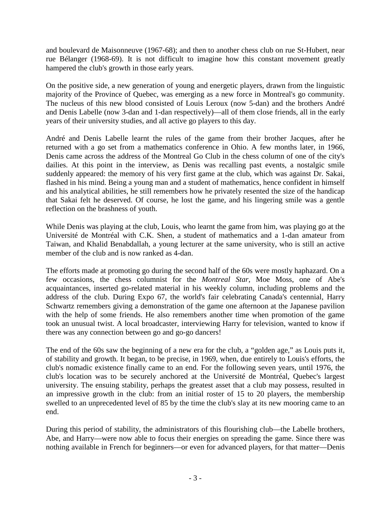and boulevard de Maisonneuve (1967-68); and then to another chess club on rue St-Hubert, near rue Bélanger (1968-69). It is not difficult to imagine how this constant movement greatly hampered the club's growth in those early years.

On the positive side, a new generation of young and energetic players, drawn from the linguistic majority of the Province of Quebec, was emerging as a new force in Montreal's go community. The nucleus of this new blood consisted of Louis Leroux (now 5-dan) and the brothers André and Denis Labelle (now 3-dan and 1-dan respectively)—all of them close friends, all in the early years of their university studies, and all active go players to this day.

André and Denis Labelle learnt the rules of the game from their brother Jacques, after he returned with a go set from a mathematics conference in Ohio. A few months later, in 1966, Denis came across the address of the Montreal Go Club in the chess column of one of the city's dailies. At this point in the interview, as Denis was recalling past events, a nostalgic smile suddenly appeared: the memory of his very first game at the club, which was against Dr. Sakai, flashed in his mind. Being a young man and a student of mathematics, hence confident in himself and his analytical abilities, he still remembers how he privately resented the size of the handicap that Sakai felt he deserved. Of course, he lost the game, and his lingering smile was a gentle reflection on the brashness of youth.

While Denis was playing at the club, Louis, who learnt the game from him, was playing go at the Université de Montréal with C.K. Shen, a student of mathematics and a 1-dan amateur from Taiwan, and Khalid Benabdallah, a young lecturer at the same university, who is still an active member of the club and is now ranked as 4-dan.

The efforts made at promoting go during the second half of the 60s were mostly haphazard. On a few occasions, the chess columnist for the *Montreal Star*, Moe Moss, one of Abe's acquaintances, inserted go-related material in his weekly column, including problems and the address of the club. During Expo 67, the world's fair celebrating Canada's centennial, Harry Schwartz remembers giving a demonstration of the game one afternoon at the Japanese pavilion with the help of some friends. He also remembers another time when promotion of the game took an unusual twist. A local broadcaster, interviewing Harry for television, wanted to know if there was any connection between go and go-go dancers!

The end of the 60s saw the beginning of a new era for the club, a "golden age," as Louis puts it, of stability and growth. It began, to be precise, in 1969, when, due entirely to Louis's efforts, the club's nomadic existence finally came to an end. For the following seven years, until 1976, the club's location was to be securely anchored at the Université de Montréal, Quebec's largest university. The ensuing stability, perhaps the greatest asset that a club may possess, resulted in an impressive growth in the club: from an initial roster of 15 to 20 players, the membership swelled to an unprecedented level of 85 by the time the club's slay at its new mooring came to an end.

During this period of stability, the administrators of this flourishing club—the Labelle brothers, Abe, and Harry—were now able to focus their energies on spreading the game. Since there was nothing available in French for beginners—or even for advanced players, for that matter—Denis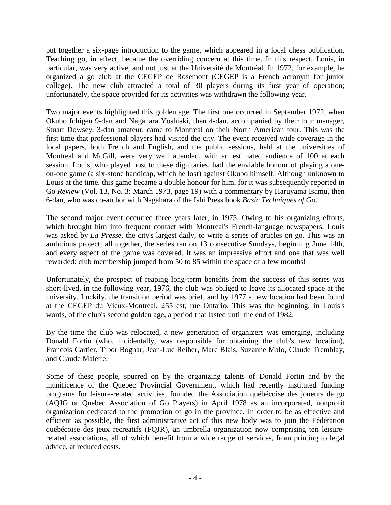put together a six-page introduction to the game, which appeared in a local chess publication. Teaching go, in effect, became the overriding concern at this time. In this respect, Louis, in particular, was very active, and not just at the Université de Montréal. In 1972, for example, he organized a go club at the CEGEP de Rosemont (CEGEP is a French acronym for junior college). The new club attracted a total of 30 players during its first year of operation; unfortunately, the space provided for its activities was withdrawn the following year.

Two major events highlighted this golden age. The first one occurred in September 1972, when Okubo Ichigen 9-dan and Nagahara Yoshiaki, then 4-dan, accompanied by their tour manager, Stuart Dowsey, 3-dan amateur, came to Montreal on their North American tour. This was the first time that professional players had visited the city. The event received wide coverage in the local papers, both French and English, and the public sessions, held at the universities of Montreal and McGill, were very well attended, with an estimated audience of 100 at each session. Louis, who played host to these dignitaries, had the enviable honour of playing a oneon-one game (a six-stone handicap, which he lost) against Okubo himself. Although unknown to Louis at the time, this game became a double honour for him, for it was subsequently reported in Go *Review* (Vol. 13, No. 3: March 1973, page 19) with a commentary by Haruyama Isamu, then 6-dan, who was co-author with Nagahara of the Ishi Press book *Basic Techniques of Go*.

The second major event occurred three years later, in 1975. Owing to his organizing efforts, which brought him into frequent contact with Montreal's French-language newspapers, Louis was asked by *La Presse*, the city's largest daily, to write a series of articles on go. This was an ambitious project; all together, the series ran on 13 consecutive Sundays, beginning June 14th, and every aspect of the game was covered. It was an impressive effort and one that was well rewarded: club membership jumped from 50 to 85 within the space of a few months!

Unfortunately, the prospect of reaping long-term benefits from the success of this series was short-lived, in the following year, 1976, the club was obliged to leave its allocated space at the university. Luckily, the transition period was brief, and by 1977 a new location had been found at the CEGEP du Vieux-Montréal, 255 est, rue Ontario. This was the beginning, in Louis's words, of the club's second golden age, a period that lasted until the end of 1982.

By the time the club was relocated, a new generation of organizers was emerging, including Donald Fortin (who, incidentally, was responsible for obtaining the club's new location), Francois Cartier, Tibor Bognar, Jean-Luc Reiher, Marc Blais, Suzanne Malo, Claude Tremblay, and Claude Malette.

Some of these people, spurred on by the organizing talents of Donald Fortin and by the munificence of the Quebec Provincial Government, which had recently instituted funding programs for leisure-related activities, founded the Association québécoise des joueurs de go (AQJG or Quebec Association of Go Players) in April 1978 as an incorporated, nonprofit organization dedicated to the promotion of go in the province. In order to be as effective and efficient as possible, the first administrative act of this new body was to join the Fédération québécoise des jeux recreatifs (FQJR), an umbrella organization now comprising ten leisurerelated associations, all of which benefit from a wide range of services, from printing to legal advice, at reduced costs.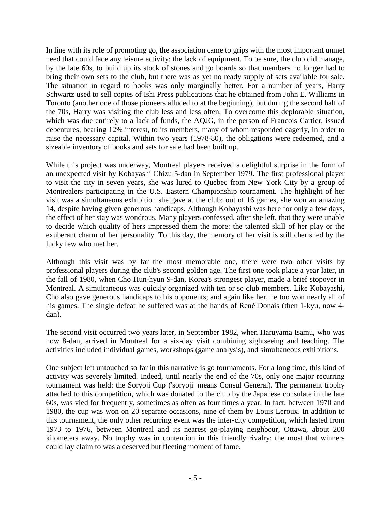In line with its role of promoting go, the association came to grips with the most important unmet need that could face any leisure activity: the lack of equipment. To be sure, the club did manage, by the late 60s, to build up its stock of stones and go boards so that members no longer had to bring their own sets to the club, but there was as yet no ready supply of sets available for sale. The situation in regard to books was only marginally better. For a number of years, Harry Schwartz used to sell copies of Ishi Press publications that he obtained from John E. Williams in Toronto (another one of those pioneers alluded to at the beginning), but during the second half of the 70s, Harry was visiting the club less and less often. To overcome this deplorable situation, which was due entirely to a lack of funds, the AQJG, in the person of Francois Cartier, issued debentures, bearing 12% interest, to its members, many of whom responded eagerly, in order to raise the necessary capital. Within two years (1978-80), the obligations were redeemed, and a sizeable inventory of books and sets for sale had been built up.

While this project was underway, Montreal players received a delightful surprise in the form of an unexpected visit by Kobayashi Chizu 5-dan in September 1979. The first professional player to visit the city in seven years, she was lured to Quebec from New York City by a group of Montrealers participating in the U.S. Eastern Championship tournament. The highlight of her visit was a simultaneous exhibition she gave at the club: out of 16 games, she won an amazing 14, despite having given generous handicaps. Although Kobayashi was here for only a few days, the effect of her stay was wondrous. Many players confessed, after she left, that they were unable to decide which quality of hers impressed them the more: the talented skill of her play or the exuberant charm of her personality. To this day, the memory of her visit is still cherished by the lucky few who met her.

Although this visit was by far the most memorable one, there were two other visits by professional players during the club's second golden age. The first one took place a year later, in the fall of 1980, when Cho Hun-hyun 9-dan, Korea's strongest player, made a brief stopover in Montreal. A simultaneous was quickly organized with ten or so club members. Like Kobayashi, Cho also gave generous handicaps to his opponents; and again like her, he too won nearly all of his games. The single defeat he suffered was at the hands of René Donais (then 1-kyu, now 4 dan).

The second visit occurred two years later, in September 1982, when Haruyama Isamu, who was now 8-dan, arrived in Montreal for a six-day visit combining sightseeing and teaching. The activities included individual games, workshops (game analysis), and simultaneous exhibitions.

One subject left untouched so far in this narrative is go tournaments. For a long time, this kind of activity was severely limited. Indeed, until nearly the end of the 70s, only one major recurring tournament was held: the Soryoji Cup ('soryoji' means Consul General). The permanent trophy attached to this competition, which was donated to the club by the Japanese consulate in the late 60s, was vied for frequently, sometimes as often as four times a year. In fact, between 1970 and 1980, the cup was won on 20 separate occasions, nine of them by Louis Leroux. In addition to this tournament, the only other recurring event was the inter-city competition, which lasted from 1973 to 1976, between Montreal and its nearest go-playing neighbour, Ottawa, about 200 kilometers away. No trophy was in contention in this friendly rivalry; the most that winners could lay claim to was a deserved but fleeting moment of fame.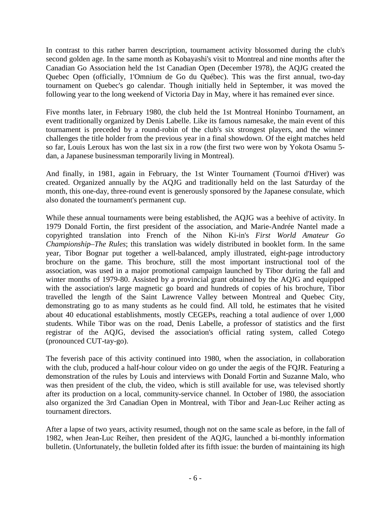In contrast to this rather barren description, tournament activity blossomed during the club's second golden age. In the same month as Kobayashi's visit to Montreal and nine months after the Canadian Go Association held the 1st Canadian Open (December 1978), the AQJG created the Quebec Open (officially, 1'Omnium de Go du Québec). This was the first annual, two-day tournament on Quebec's go calendar. Though initially held in September, it was moved the following year to the long weekend of Victoria Day in May, where it has remained ever since.

Five months later, in February 1980, the club held the 1st Montreal Honinbo Tournament, an event traditionally organized by Denis Labelle. Like its famous namesake, the main event of this tournament is preceded by a round-robin of the club's six strongest players, and the winner challenges the title holder from the previous year in a final showdown. Of the eight matches held so far, Louis Leroux has won the last six in a row (the first two were won by Yokota Osamu 5 dan, a Japanese businessman temporarily living in Montreal).

And finally, in 1981, again in February, the 1st Winter Tournament (Tournoi d'Hiver) was created. Organized annually by the AQJG and traditionally held on the last Saturday of the month, this one-day, three-round event is generously sponsored by the Japanese consulate, which also donated the tournament's permanent cup.

While these annual tournaments were being established, the AQJG was a beehive of activity. In 1979 Donald Fortin, the first president of the association, and Marie-Andrée Nantel made a copyrighted translation into French of the Nihon Ki-in's *First World Amateur Go Championship–The Rules*; this translation was widely distributed in booklet form. In the same year, Tibor Bognar put together a well-balanced, amply illustrated, eight-page introductory brochure on the game. This brochure, still the most important instructional tool of the association, was used in a major promotional campaign launched by Tibor during the fall and winter months of 1979-80. Assisted by a provincial grant obtained by the AQJG and equipped with the association's large magnetic go board and hundreds of copies of his brochure, Tibor travelled the length of the Saint Lawrence Valley between Montreal and Quebec City, demonstrating go to as many students as he could find. All told, he estimates that he visited about 40 educational establishments, mostly CEGEPs, reaching a total audience of over 1,000 students. While Tibor was on the road, Denis Labelle, a professor of statistics and the first registrar of the AQJG, devised the association's official rating system, called Cotego (pronounced CUT-tay-go).

The feverish pace of this activity continued into 1980, when the association, in collaboration with the club, produced a half-hour colour video on go under the aegis of the FQJR. Featuring a demonstration of the rules by Louis and interviews with Donald Fortin and Suzanne Malo, who was then president of the club, the video, which is still available for use, was televised shortly after its production on a local, community-service channel. In October of 1980, the association also organized the 3rd Canadian Open in Montreal, with Tibor and Jean-Luc Reiher acting as tournament directors.

After a lapse of two years, activity resumed, though not on the same scale as before, in the fall of 1982, when Jean-Luc Reiher, then president of the AQJG, launched a bi-monthly information bulletin. (Unfortunately, the bulletin folded after its fifth issue: the burden of maintaining its high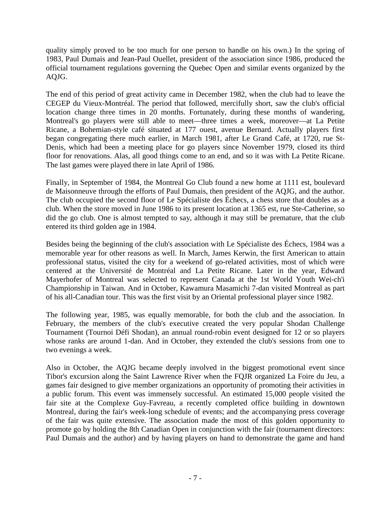quality simply proved to be too much for one person to handle on his own.) In the spring of 1983, Paul Dumais and Jean-Paul Ouellet, president of the association since 1986, produced the official tournament regulations governing the Quebec Open and similar events organized by the AQJG.

The end of this period of great activity came in December 1982, when the club had to leave the CEGEP du Vieux-Montréal. The period that followed, mercifully short, saw the club's official location change three times in 20 months. Fortunately, during these months of wandering, Montreal's go players were still able to meet—three times a week, moreover—at La Petite Ricane, a Bohemian-style café situated at 177 ouest, avenue Bernard. Actually players first began congregating there much earlier, in March 1981, after Le Grand Café, at 1720, rue St-Denis, which had been a meeting place for go players since November 1979, closed its third floor for renovations. Alas, all good things come to an end, and so it was with La Petite Ricane. The last games were played there in late April of 1986.

Finally, in September of 1984, the Montreal Go Club found a new home at 1111 est, boulevard de Maisonneuve through the efforts of Paul Dumais, then president of the AQJG, and the author. The club occupied the second floor of Le Spécialiste des Échecs, a chess store that doubles as a club. When the store moved in June 1986 to its present location at 1365 est, rue Ste-Catherine, so did the go club. One is almost tempted to say, although it may still be premature, that the club entered its third golden age in 1984.

Besides being the beginning of the club's association with Le Spécialiste des Échecs, 1984 was a memorable year for other reasons as well. In March, James Kerwin, the first American to attain professional status, visited the city for a weekend of go-related activities, most of which were centered at the Université de Montréal and La Petite Ricane. Later in the year, Edward Mayerhofer of Montreal was selected to represent Canada at the 1st World Youth Wei-ch'i Championship in Taiwan. And in October, Kawamura Masamichi 7-dan visited Montreal as part of his all-Canadian tour. This was the first visit by an Oriental professional player since 1982.

The following year, 1985, was equally memorable, for both the club and the association. In February, the members of the club's executive created the very popular Shodan Challenge Tournament (Tournoi Défi Shodan), an annual round-robin event designed for 12 or so players whose ranks are around 1-dan. And in October, they extended the club's sessions from one to two evenings a week.

Also in October, the AQJG became deeply involved in the biggest promotional event since Tibor's excursion along the Saint Lawrence River when the FQJR organized La Foire du Jeu, a games fair designed to give member organizations an opportunity of promoting their activities in a public forum. This event was immensely successful. An estimated 15,000 people visited the fair site at the Complexe Guy-Favreau, a recently completed office building in downtown Montreal, during the fair's week-long schedule of events; and the accompanying press coverage of the fair was quite extensive. The association made the most of this golden opportunity to promote go by holding the 8th Canadian Open in conjunction with the fair (tournament directors: Paul Dumais and the author) and by having players on hand to demonstrate the game and hand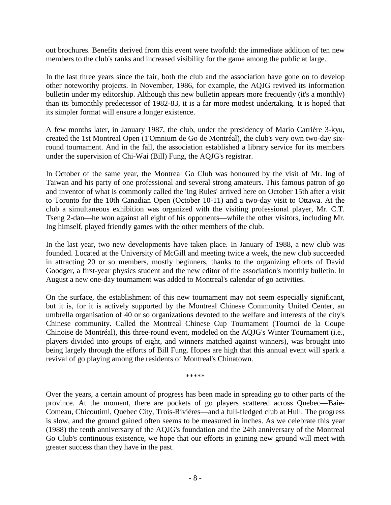out brochures. Benefits derived from this event were twofold: the immediate addition of ten new members to the club's ranks and increased visibility for the game among the public at large.

In the last three years since the fair, both the club and the association have gone on to develop other noteworthy projects. In November, 1986, for example, the AQJG revived its information bulletin under my editorship. Although this new bulletin appears more frequently (it's a monthly) than its bimonthly predecessor of 1982-83, it is a far more modest undertaking. It is hoped that its simpler format will ensure a longer existence.

A few months later, in January 1987, the club, under the presidency of Mario Carrière 3-kyu, created the 1st Montreal Open (1'Omnium de Go de Montréal), the club's very own two-day sixround tournament. And in the fall, the association established a library service for its members under the supervision of Chi-Wai (Bill) Fung, the AQJG's registrar.

In October of the same year, the Montreal Go Club was honoured by the visit of Mr. Ing of Taiwan and his party of one professional and several strong amateurs. This famous patron of go and inventor of what is commonly called the 'Ing Rules' arrived here on October 15th after a visit to Toronto for the 10th Canadian Open (October 10-11) and a two-day visit to Ottawa. At the club a simultaneous exhibition was organized with the visiting professional player, Mr. C.T. Tseng 2-dan—he won against all eight of his opponents—while the other visitors, including Mr. Ing himself, played friendly games with the other members of the club.

In the last year, two new developments have taken place. In January of 1988, a new club was founded. Located at the University of McGill and meeting twice a week, the new club succeeded in attracting 20 or so members, mostly beginners, thanks to the organizing efforts of David Goodger, a first-year physics student and the new editor of the association's monthly bulletin. In August a new one-day tournament was added to Montreal's calendar of go activities.

On the surface, the establishment of this new tournament may not seem especially significant, but it is, for it is actively supported by the Montreal Chinese Community United Center, an umbrella organisation of 40 or so organizations devoted to the welfare and interests of the city's Chinese community. Called the Montreal Chinese Cup Tournament (Tournoi de la Coupe Chinoise de Montréal), this three-round event, modeled on the AQJG's Winter Tournament (i.e., players divided into groups of eight, and winners matched against winners), was brought into being largely through the efforts of Bill Fung. Hopes are high that this annual event will spark a revival of go playing among the residents of Montreal's Chinatown.

\*\*\*\*\*

Over the years, a certain amount of progress has been made in spreading go to other parts of the province. At the moment, there are pockets of go players scattered across Quebec—Baie-Comeau, Chicoutimi, Quebec City, Trois-Rivières—and a full-fledged club at Hull. The progress is slow, and the ground gained often seems to be measured in inches. As we celebrate this year (1988) the tenth anniversary of the AQJG's foundation and the 24th anniversary of the Montreal Go Club's continuous existence, we hope that our efforts in gaining new ground will meet with greater success than they have in the past.